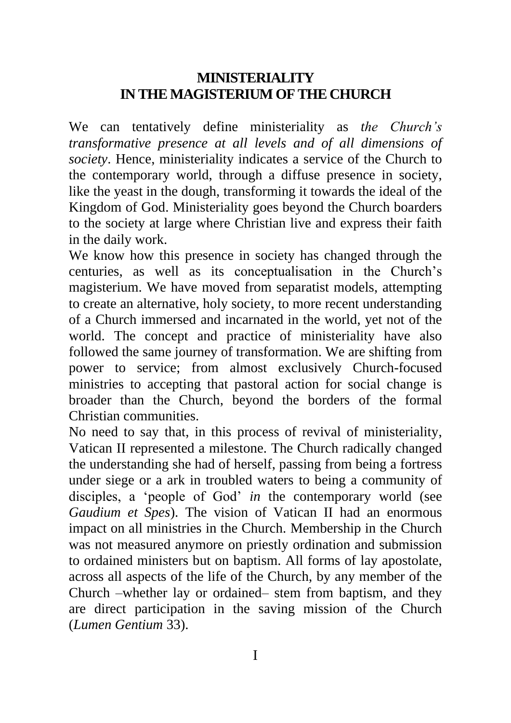## **MINISTERIALITY IN THE MAGISTERIUM OF THE CHURCH**

We can tentatively define ministeriality as *the Church's transformative presence at all levels and of all dimensions of society*. Hence, ministeriality indicates a service of the Church to the contemporary world, through a diffuse presence in society, like the yeast in the dough, transforming it towards the ideal of the Kingdom of God. Ministeriality goes beyond the Church boarders to the society at large where Christian live and express their faith in the daily work.

We know how this presence in society has changed through the centuries, as well as its conceptualisation in the Church's magisterium. We have moved from separatist models, attempting to create an alternative, holy society, to more recent understanding of a Church immersed and incarnated in the world, yet not of the world. The concept and practice of ministeriality have also followed the same journey of transformation. We are shifting from power to service; from almost exclusively Church-focused ministries to accepting that pastoral action for social change is broader than the Church, beyond the borders of the formal Christian communities.

No need to say that, in this process of revival of ministeriality, Vatican II represented a milestone. The Church radically changed the understanding she had of herself, passing from being a fortress under siege or a ark in troubled waters to being a community of disciples, a 'people of God' *in* the contemporary world (see *Gaudium et Spes*). The vision of Vatican II had an enormous impact on all ministries in the Church. Membership in the Church was not measured anymore on priestly ordination and submission to ordained ministers but on baptism. All forms of lay apostolate, across all aspects of the life of the Church, by any member of the Church –whether lay or ordained– stem from baptism, and they are direct participation in the saving mission of the Church (*Lumen Gentium* 33).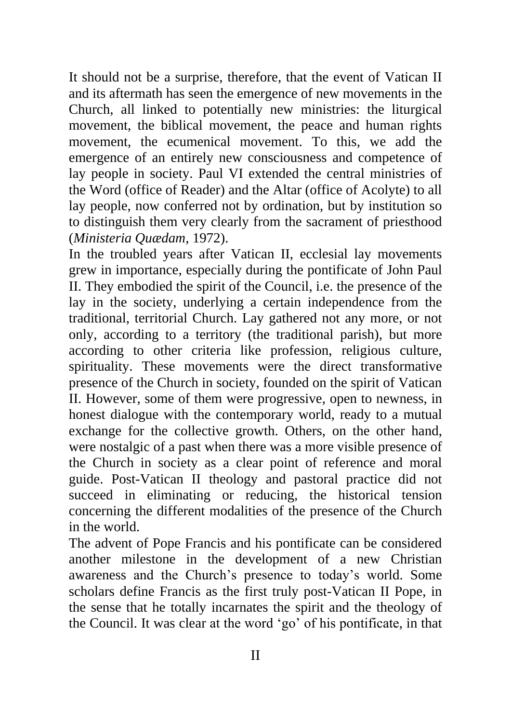It should not be a surprise, therefore, that the event of Vatican II and its aftermath has seen the emergence of new movements in the Church, all linked to potentially new ministries: the liturgical movement, the biblical movement, the peace and human rights movement, the ecumenical movement. To this, we add the emergence of an entirely new consciousness and competence of lay people in society. Paul VI extended the central ministries of the Word (office of Reader) and the Altar (office of Acolyte) to all lay people, now conferred not by ordination, but by institution so to distinguish them very clearly from the sacrament of priesthood (*Ministeria Quædam*, 1972).

In the troubled years after Vatican II, ecclesial lay movements grew in importance, especially during the pontificate of John Paul II. They embodied the spirit of the Council, i.e. the presence of the lay in the society, underlying a certain independence from the traditional, territorial Church. Lay gathered not any more, or not only, according to a territory (the traditional parish), but more according to other criteria like profession, religious culture, spirituality. These movements were the direct transformative presence of the Church in society, founded on the spirit of Vatican II. However, some of them were progressive, open to newness, in honest dialogue with the contemporary world, ready to a mutual exchange for the collective growth. Others, on the other hand, were nostalgic of a past when there was a more visible presence of the Church in society as a clear point of reference and moral guide. Post-Vatican II theology and pastoral practice did not succeed in eliminating or reducing, the historical tension concerning the different modalities of the presence of the Church in the world.

The advent of Pope Francis and his pontificate can be considered another milestone in the development of a new Christian awareness and the Church's presence to today's world. Some scholars define Francis as the first truly post-Vatican II Pope, in the sense that he totally incarnates the spirit and the theology of the Council. It was clear at the word 'go' of his pontificate, in that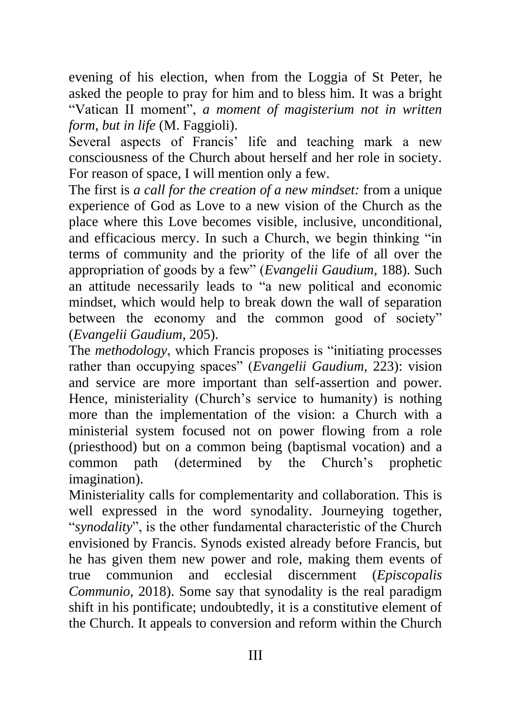evening of his election, when from the Loggia of St Peter, he asked the people to pray for him and to bless him. It was a bright "Vatican II moment", *a moment of magisterium not in written form, but in life* (M. Faggioli).

Several aspects of Francis' life and teaching mark a new consciousness of the Church about herself and her role in society. For reason of space, I will mention only a few.

The first is *a call for the creation of a new mindset:* from a unique experience of God as Love to a new vision of the Church as the place where this Love becomes visible, inclusive, unconditional, and efficacious mercy. In such a Church, we begin thinking "in terms of community and the priority of the life of all over the appropriation of goods by a few" (*Evangelii Gaudium,* 188). Such an attitude necessarily leads to "a new political and economic mindset, which would help to break down the wall of separation between the economy and the common good of society" (*Evangelii Gaudium,* 205).

The *methodology*, which Francis proposes is "initiating processes rather than occupying spaces" (*Evangelii Gaudium*, 223): vision and service are more important than self-assertion and power. Hence, ministeriality (Church's service to humanity) is nothing more than the implementation of the vision: a Church with a ministerial system focused not on power flowing from a role (priesthood) but on a common being (baptismal vocation) and a common path (determined by the Church's prophetic imagination).

Ministeriality calls for complementarity and collaboration. This is well expressed in the word synodality. Journeying together, "*synodality*", is the other fundamental characteristic of the Church envisioned by Francis. Synods existed already before Francis, but he has given them new power and role, making them events of true communion and ecclesial discernment (*Episcopalis Communio*, 2018). Some say that synodality is the real paradigm shift in his pontificate; undoubtedly, it is a constitutive element of the Church. It appeals to conversion and reform within the Church